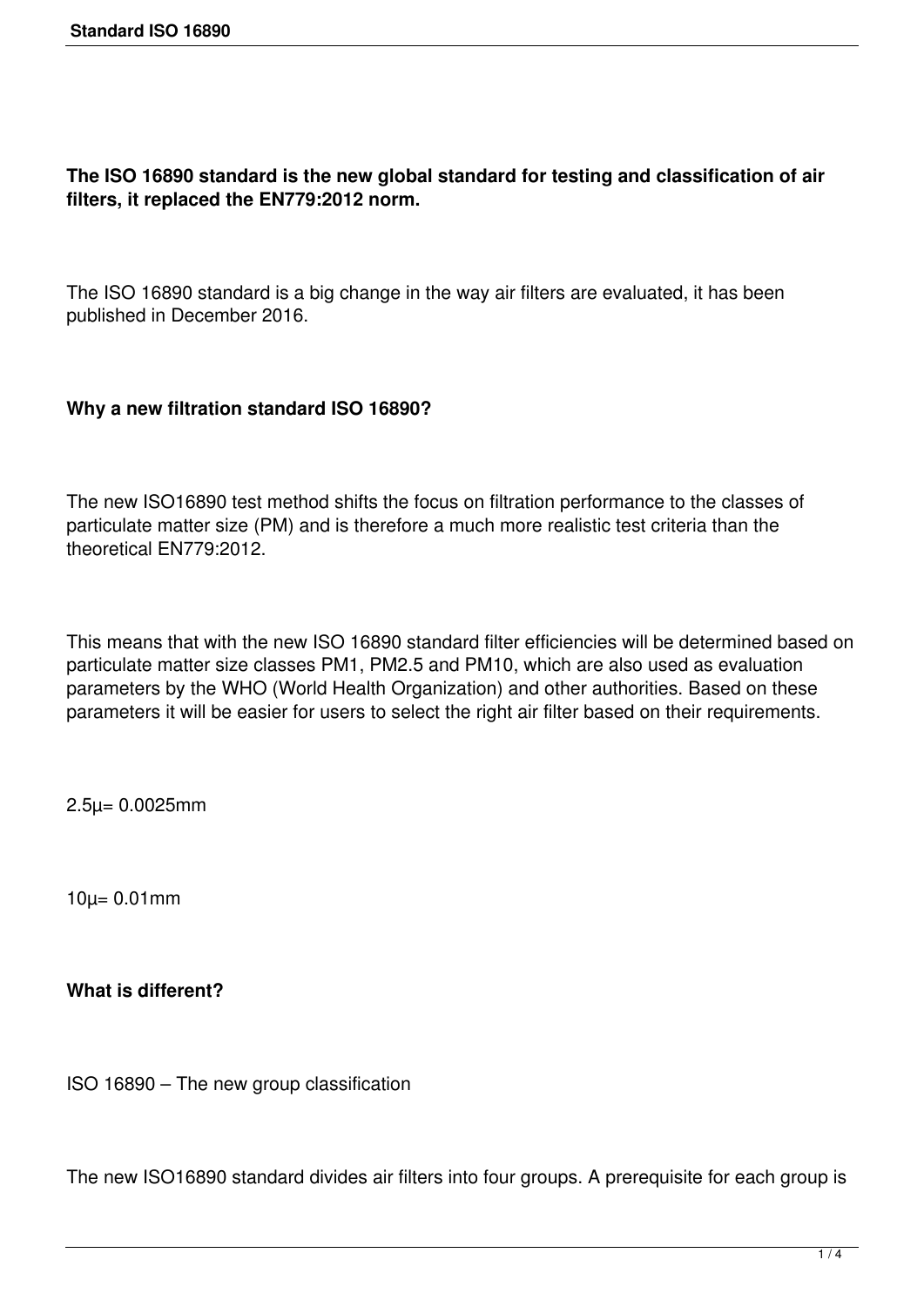## **The ISO 16890 standard is the new global standard for testing and classification of air filters, it replaced the EN779:2012 norm.**

The ISO 16890 standard is a big change in the way air filters are evaluated, it has been published in December 2016.

#### **Why a new filtration standard ISO 16890?**

The new ISO16890 test method shifts the focus on filtration performance to the classes of particulate matter size (PM) and is therefore a much more realistic test criteria than the theoretical EN779:2012.

This means that with the new ISO 16890 standard filter efficiencies will be determined based on particulate matter size classes PM1, PM2.5 and PM10, which are also used as evaluation parameters by the WHO (World Health Organization) and other authorities. Based on these parameters it will be easier for users to select the right air filter based on their requirements.

2.5µ= 0.0025mm

10µ= 0.01mm

**What is different?**

ISO 16890 – The new group classification

The new ISO16890 standard divides air filters into four groups. A prerequisite for each group is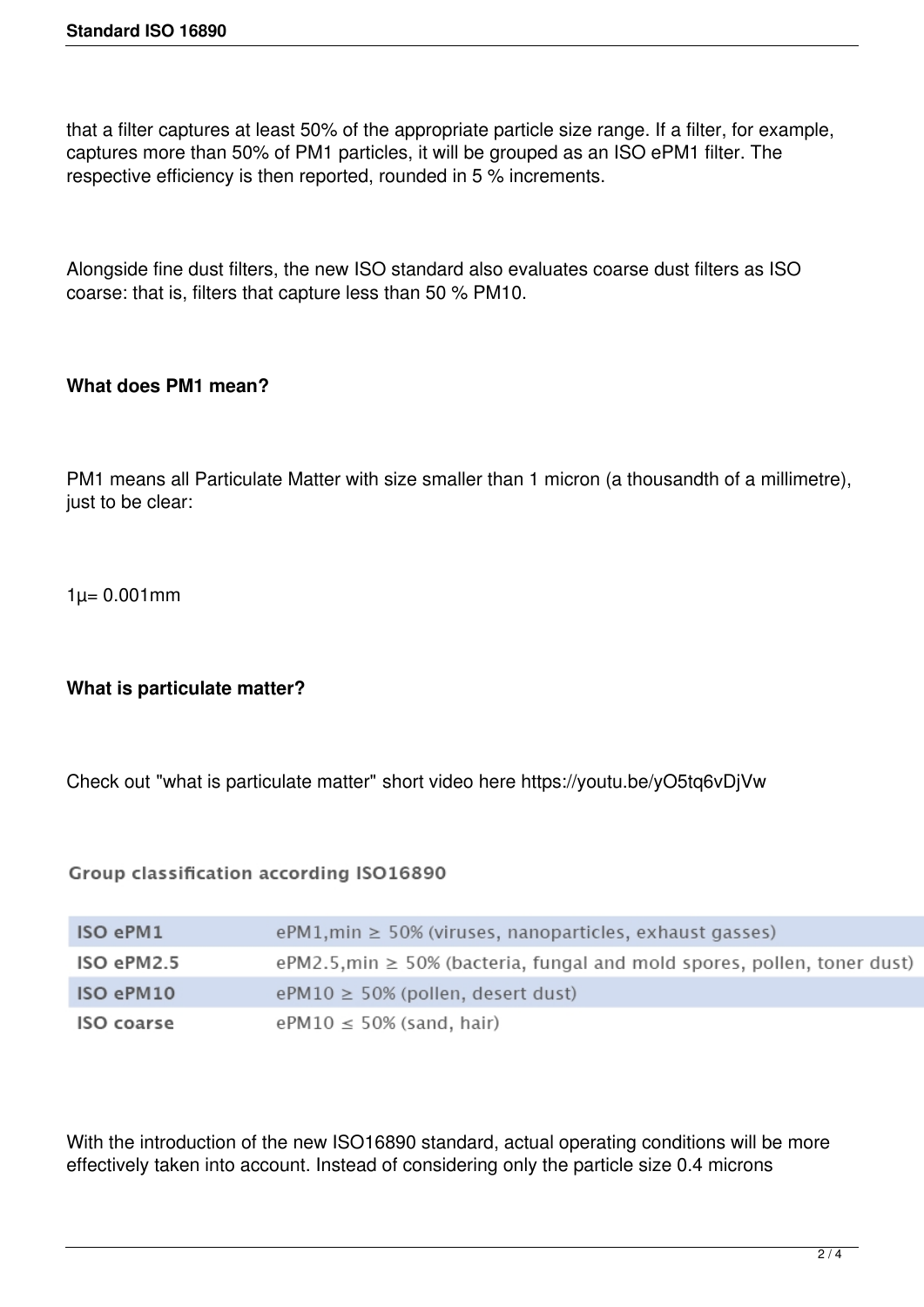that a filter captures at least 50% of the appropriate particle size range. If a filter, for example, captures more than 50% of PM1 particles, it will be grouped as an ISO ePM1 filter. The respective efficiency is then reported, rounded in 5 % increments.

Alongside fine dust filters, the new ISO standard also evaluates coarse dust filters as ISO coarse: that is, filters that capture less than 50 % PM10.

### **What does PM1 mean?**

PM1 means all Particulate Matter with size smaller than 1 micron (a thousandth of a millimetre), just to be clear:

 $1\mu = 0.001$  mm

### **What is particulate matter?**

Check out "what is particulate matter" short video here https://youtu.be/yO5tq6vDjVw

Group classification according ISO16890

| ISO ePM1   | $ePM1$ , min $\geq 50\%$ (viruses, nanoparticles, exhaust gasses)             |
|------------|-------------------------------------------------------------------------------|
| ISO ePM2.5 | ePM2.5, min $\geq$ 50% (bacteria, fungal and mold spores, pollen, toner dust) |
| ISO ePM10  | $ePM10 \ge 50\%$ (pollen, desert dust)                                        |
| ISO coarse | $ePM10 \le 50\%$ (sand, hair)                                                 |

With the introduction of the new ISO16890 standard, actual operating conditions will be more effectively taken into account. Instead of considering only the particle size 0.4 microns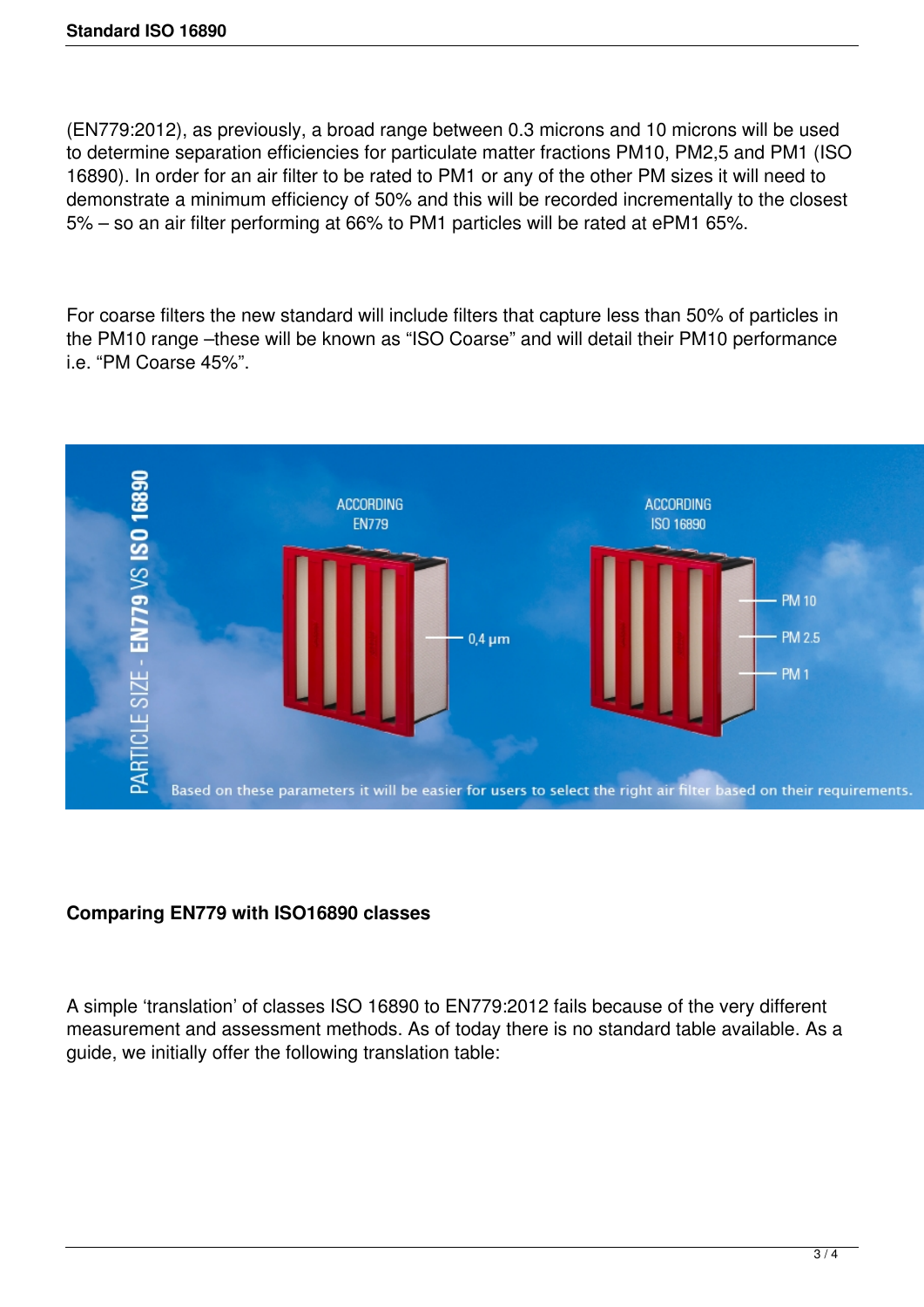(EN779:2012), as previously, a broad range between 0.3 microns and 10 microns will be used to determine separation efficiencies for particulate matter fractions PM10, PM2,5 and PM1 (ISO 16890). In order for an air filter to be rated to PM1 or any of the other PM sizes it will need to demonstrate a minimum efficiency of 50% and this will be recorded incrementally to the closest 5% – so an air filter performing at 66% to PM1 particles will be rated at ePM1 65%.

For coarse filters the new standard will include filters that capture less than 50% of particles in the PM10 range –these will be known as "ISO Coarse" and will detail their PM10 performance i.e. "PM Coarse 45%".



# **Comparing EN779 with ISO16890 classes**

A simple 'translation' of classes ISO 16890 to EN779:2012 fails because of the very different measurement and assessment methods. As of today there is no standard table available. As a guide, we initially offer the following translation table: